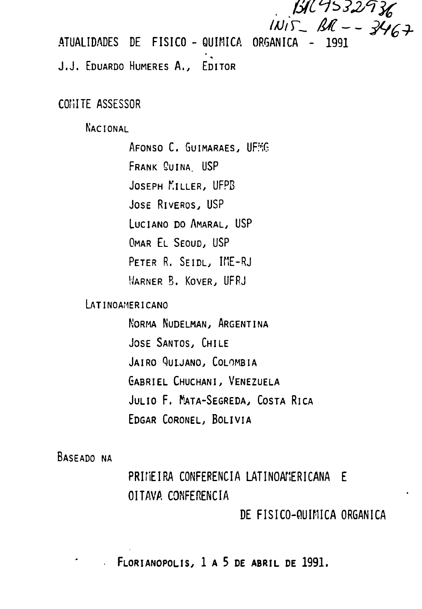**BR 9532936**  $1115 - 3467$ 

ATUALIDADES DE FISICO - QUIMICA ORGANICA

J.J. EDUARDO HUMERES A., EDITOR

COMITE ASSESSOR

NACIONAL

AFONSO C. GUIMARAES, UFMG FRANK CUINA. USP JOSEPH KILLER, UFPB JOSE RIVEROS, USP LUCIANO DO AMARAL, USP OMAR EL SEOUD, USP PETER R. SEIDL, IME-RJ WARNER B. KOVER, UFRJ

LATINOAMERICANO

NORMA NUDELMAN, ARGENTINA JOSE SANTOS, CHILE JAIRO QULJANO, COLOMBIA GABRIEL CHUCHANI, VENEZUELA JULIO F. MATA-SEGREDA, COSTA RICA EDGAR CORONEL, BOLÍVIA

BASEADO NA

PRIMEIRA CONFERENCIA LATINOAMERICANA E OITAVA CONFERÊNCIA

DE FISICO-QUIMICA ORGANICA

FLORIANOPOLIS, 1 A 5 DE ABRIL DE 1991.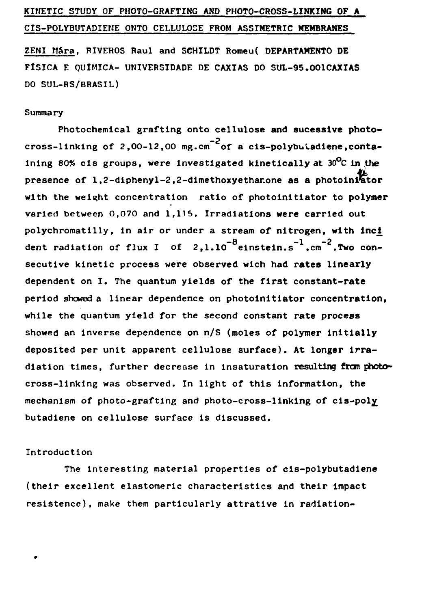# **KINETIC STUDY OF PHOTO-GRAFTING AND PHOTO-CROSS-LINKING OF A CIS-POLYBUTADIEME ONTO CELLULOSE FROM ASSIMETRIC MEMBRANES**

**ZENI Mara, RIVEROS Raul and SCHILDT Romeu( DEPARTAMENTO DE FÍSICA E QUÍMICA- UNIVERSIDADE DE CAXIAS DO SUL-95.001CAXIAS DO SUL-RS/BRASIL)**

## **Summary**

**Photochemical grafting onto cellulose and sucesslve photocross-linking of 2,00-12,00 mg.cm of a cis-polybucadiene,conta**ining 80% cis groups, were investigated kinetically at 30<sup>0</sup>C in the **presence of l,2-diphenyl-2,2-dimethoxyethar.one as a photolnifetor with the weight concentration ratio of photoinitiator to polymer varied between 0,070 and 1,115. Irradiations were carried out polychromatilly, in air or under a stream of nitrogen, with inci** dent radiation of flux I of  $2.1.10^{-8}$  einstein.s<sup>-1</sup>.cm<sup>-2</sup>.Two consecutive kinetic process were observed wich had rates linearly dependent on I. The quantum yields of the first constant-rate period showed a linear dependence on photoinitiator concentration, while the quantum yield for the second constant rate process showed an inverse dependence on n/S (moles of polymer initially deposited per unit apparent cellulose surface). At longer irradiation times. further decrease in insaturation resulting from photocross-linking was observed. In light of this information, the mechanism of photo-grafting and photo-cross-linking of cis-poly butadiene on cellulose surface is discussed.

### **Introduction**

**The interesting material properties of cis-polybutadiene (their excellent elastomeric characteristics and their impact resistence), make them particularly attrative In radiation-**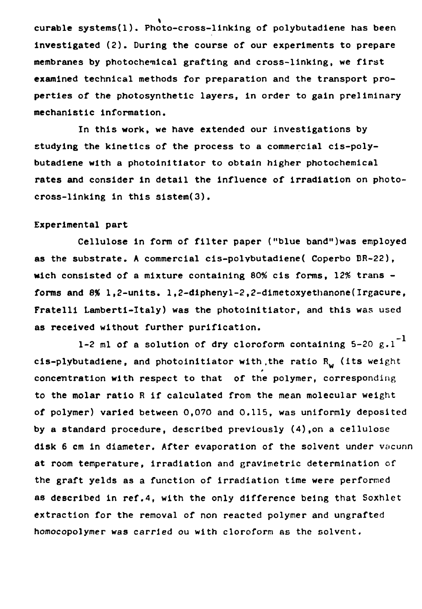**curable systems(l). Photo-cross-linking of polybutadiene has been Investigated (2). During the course of our experiments to prepare membranes by photochemical grafting and cross-linking, we first examined technical methods for preparation and the transport properties of the photosynthetic layers, in order to gain preliminary mechanistic information.**

**In this work, we have extended our investigations by studying the kinetics of the process to a commercial cis-polybutadlene with a photoinitlator to obtain higher photochemical rates and consider in detail the influence of irradiation on photocross-linking in this sistem(3).**

#### **Experimental part**

**Cellulose in form of filter paper ("blue band")was employed as the substrate. A commercial cis-polvbutadiene( Coperbo BR-22), wich consisted of a mixture containing 80% cis forms, 12% trans forms and 8% 1,2-units. 1,2-diphenyl-2,2-dimetoxyethanone(Irgacure, Fratelli Lamberti-Italy) was the photoinitiator, and this was used as received without further purification.**

**1-2 ml of a solution of dry cloroform containing 5-20 g.l cis-plybutadiene, and photoinitiator with .the ratio Rw (its weight concentration with respect to that of the polymer, corresponding to the molar ratio R if calculated from the mean molecular weight of polymer) varied between 0,070 and 0.115, was uniformly deposited by a standard procedure, described previously (4),on a cellulose disk 6 cm in diameter. After evaporation of the solvent under vacunn at room temperature, irradiation and gravimetric determination of the graft yelds as a function of irradiation time were performed as described in ref.4, with the only difference being that Soxhlet extraction for the removal of non reacted polymer and ungrafted homocopolymer was carried ou with cloroform as the solvent.**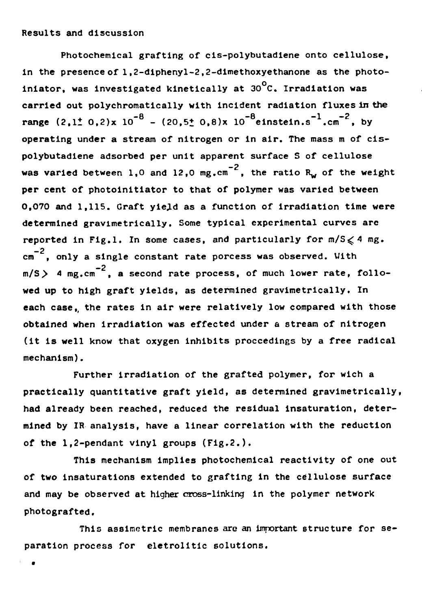**Photochemical grafting of cis-polybutadiene onto cellulose, In the presence of 1,2-diphenyl-2,2-dimethoxyethanone as the photoo iniator, was investigated kinetically at 30 C. Irradiation was carried out polychromatically with incident radiation fluxes in the** range  $(2.1 \pm 0.2) \times 10^{-8}$  -  $(20.5 \pm 0.8) \times 10^{-8}$  einstein.s<sup>-1</sup>.cm<sup>-2</sup>, by operating under a stream of nitrogen or in air. The mass m of cispolybutadiene adsorbed per unit apparent surface S of cellulose  $p_0$  and  $p_1$  between  $p_1$  and  $p_2$  or  $n-2$  the retire  $p_1$  of the verters **was varied between 1,0 and 12,0 mg.cm , the ratio R^ of the weight per cent of photoinitiator to that of polymer was varied between** 0.070 and 1.115. Graft yield as a function of irradiation time were **determined gravimetrically. Some typical experimental curves are reported in Fig.l. In some cases, and particularly for m/S^ 4 mg.** \_? **cm , only a single constant rate porcess was observed. With**  $m/S$   $>$  4  $mp, cm^{-2}$ , a second rate process, of much lower rate, followed up to high graft yields, as determined gravimetrically. In each case, the rates in air were relatively low compared with those **obtained when irradiation was effected under a stream of nitrogen** (it is well know that oxygen inhibits proccedings by a free radical **(It is well know that oxygen inhibits proceedings by a free radical**

Further irradiation of the grafted polymer, for wich a practically quantitative graft yield, as determined gravimetrically, had already been reached, reduced the residual insaturation, determined by IR analysis, have a linear correlation with the reduction of the 1.2-pendant vinyl groups (Fig.2.).

This mechanism implies photochemical reactivity of one out of two insaturations extended to grafting in the cellulose surface and may be observed at higher cross-linking in the polymer network photografted.

This assimetric membranes are an important structure for separation process for eletrolitic solutions.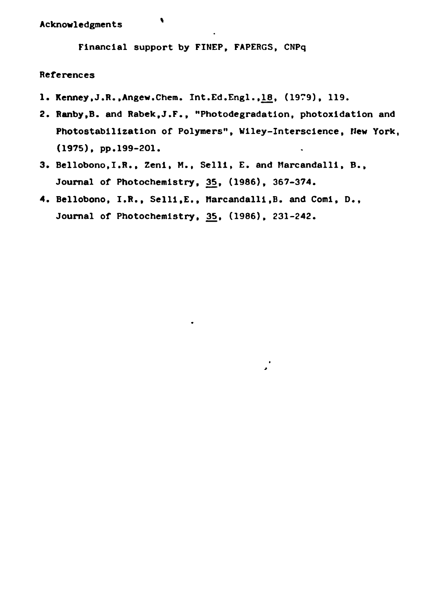**Financial support by FINEP, FAPERGS, CNPq**

### **References**

- **1. Kenney.J.R.,Angew.Chem. Int.Ed.Engl.,1£, (1979), 119.**
- **2. Ranby,B. and Rabek.J.F., "Photodegradation, photoxidation and Photostabilization of Polymers", Wiley-Interscience, New York, (1975), pp.199-201.**
- **3. Bellobono,I.R., Zenl, M., Selli, E. and Marcandalli, B., Journal of Photochemistry, 35, (1986), 367-374.**
- **4. Bellobono, I.R., Selli,E., Marcandalli,B. and Comi, D., Journal of Photochemistry, 35, (1986), 231-242.**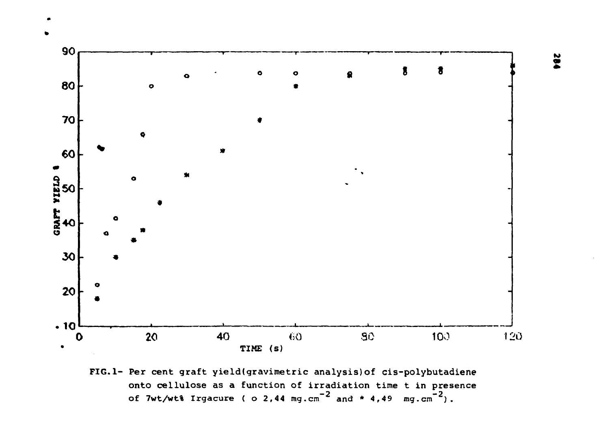



FIG.1- Per cent graft yield(gravimetric analysis) of cis-polybutadiene onto cellulose as a function of irradiation time t in presence of 7wt/wt% Irgacure (  $\circ$  2,44 mg.cm<sup>-2</sup> and \* 4,49 mg.cm<sup>-2</sup>).